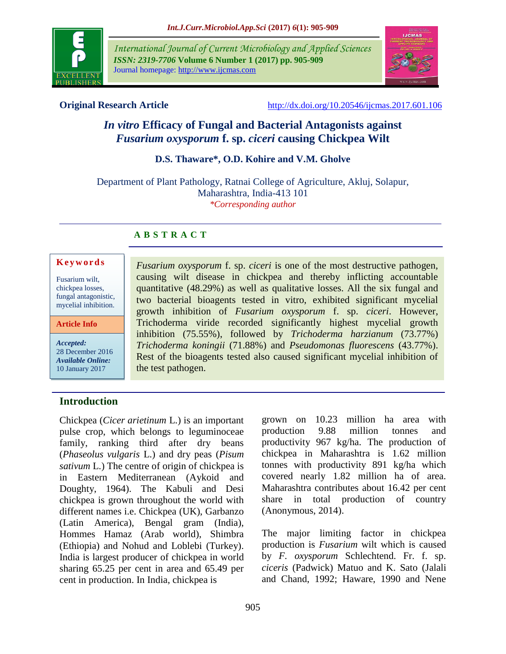

*International Journal of Current Microbiology and Applied Sciences ISSN: 2319-7706* **Volume 6 Number 1 (2017) pp. 905-909** Journal homepage: http://www.ijcmas.com



**Original Research Article** <http://dx.doi.org/10.20546/ijcmas.2017.601.106>

# *In vitro* **Efficacy of Fungal and Bacterial Antagonists against**  *Fusarium oxysporum* **f. sp.** *ciceri* **causing Chickpea Wilt**

## **D.S. Thaware\*, O.D. Kohire and V.M. Gholve**

Department of Plant Pathology, Ratnai College of Agriculture, Akluj, Solapur, Maharashtra, India-413 101 *\*Corresponding author*

## **A B S T R A C T**

#### **K e y w o r d s**

Fusarium wilt, chickpea losses, fungal antagonistic, mycelial inhibition.

**Article Info**

*Accepted:*  28 December 2016 *Available Online:* 10 January 2017

## *Fusarium oxysporum* f. sp. *ciceri* is one of the most destructive pathogen, causing wilt disease in chickpea and thereby inflicting accountable quantitative (48.29%) as well as qualitative losses. All the six fungal and two bacterial bioagents tested in vitro, exhibited significant mycelial growth inhibition of *Fusarium oxysporum* f. sp. *ciceri*. However, Trichoderma viride recorded significantly highest mycelial growth inhibition (75.55%), followed by *Trichoderma harzianum* (73.77%) *Trichoderma koningii* (71.88%) and *Pseudomonas fluorescens* (43.77%). Rest of the bioagents tested also caused significant mycelial inhibition of the test pathogen.

## **Introduction**

Chickpea (*Cicer arietinum* L.) is an important pulse crop, which belongs to leguminoceae family, ranking third after dry beans (*Phaseolus vulgaris* L.) and dry peas (*Pisum sativum* L.) The centre of origin of chickpea is in Eastern Mediterranean (Aykoid and Doughty, 1964). The Kabuli and Desi chickpea is grown throughout the world with different names i.e. Chickpea (UK), Garbanzo (Latin America), Bengal gram (India), Hommes Hamaz (Arab world), Shimbra (Ethiopia) and Nohud and Loblebi (Turkey). India is largest producer of chickpea in world sharing 65.25 per cent in area and 65.49 per cent in production. In India, chickpea is

grown on 10.23 million ha area with production 9.88 million tonnes and productivity 967 kg/ha. The production of chickpea in Maharashtra is 1.62 million tonnes with productivity 891 kg/ha which covered nearly 1.82 million ha of area. Maharashtra contributes about 16.42 per cent share in total production of country (Anonymous, 2014).

The major limiting factor in chickpea production is *Fusarium* wilt which is caused by *F. oxysporum* Schlechtend. Fr. f. sp. *ciceris* (Padwick) Matuo and K. Sato (Jalali and Chand, 1992; Haware, 1990 and Nene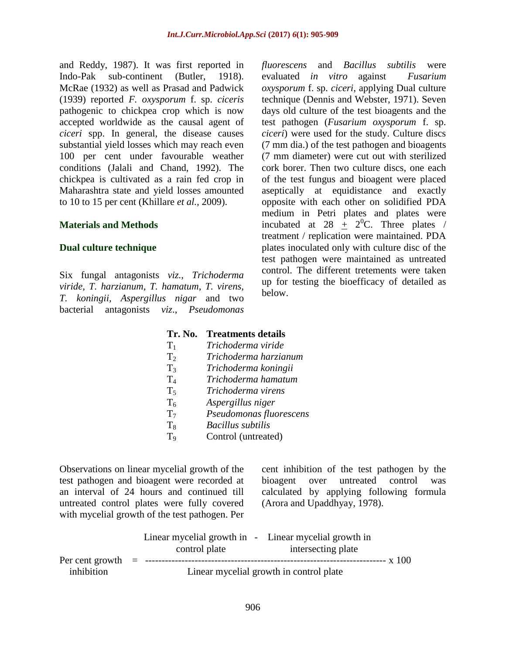and Reddy, 1987). It was first reported in Indo-Pak sub-continent (Butler, 1918). McRae (1932) as well as Prasad and Padwick (1939) reported *F. oxysporum* f. sp. *ciceris*  pathogenic to chickpea crop which is now accepted worldwide as the causal agent of *ciceri* spp. In general, the disease causes substantial yield losses which may reach even 100 per cent under favourable weather conditions (Jalali and Chand, 1992). The chickpea is cultivated as a rain fed crop in Maharashtra state and yield losses amounted to 10 to 15 per cent (Khillare *et al.,* 2009).

#### **Materials and Methods**

#### **Dual culture technique**

Six fungal antagonists *viz., Trichoderma viride*, *T. harzianum, T. hamatum*, *T. virens, T. koningii, Aspergillus nigar* and two bacterial antagonists *viz*., *Pseudomonas*  *fluorescens* and *Bacillus subtilis* were evaluated *in vitro* against *Fusarium oxysporum* f. sp. *ciceri*, applying Dual culture technique (Dennis and Webster, 1971). Seven days old culture of the test bioagents and the test pathogen (*Fusarium oxysporum* f. sp. *ciceri*) were used for the study. Culture discs (7 mm dia.) of the test pathogen and bioagents (7 mm diameter) were cut out with sterilized cork borer. Then two culture discs, one each of the test fungus and bioagent were placed aseptically at equidistance and exactly opposite with each other on solidified PDA medium in Petri plates and plates were incubated at 28  $\pm$  2<sup>0</sup>C. Three plates / treatment / replication were maintained. PDA plates inoculated only with culture disc of the test pathogen were maintained as untreated control. The different tretements were taken up for testing the bioefficacy of detailed as below.

### **Tr. No. Treatments details**

| $T_1$          | Trichoderma viride       |
|----------------|--------------------------|
| T <sub>2</sub> | Trichoderma harzianum    |
| $T_3$          | Trichoderma koningii     |
| $T_4$          | Trichoderma hamatum      |
| $T_5$          | Trichoderma virens       |
| T <sub>6</sub> | Aspergillus niger        |
| T <sub>7</sub> | Pseudomonas fluorescens  |
| $T_8$          | <b>Bacillus</b> subtilis |
| T <sub>9</sub> | Control (untreated)      |
|                |                          |

Observations on linear mycelial growth of the test pathogen and bioagent were recorded at an interval of 24 hours and continued till untreated control plates were fully covered with mycelial growth of the test pathogen. Per cent inhibition of the test pathogen by the bioagent over untreated control was calculated by applying following formula (Arora and Upaddhyay, 1978).

|                                   | control plate | Linear mycelial growth in - Linear mycelial growth in<br>intersecting plate |          |
|-----------------------------------|---------------|-----------------------------------------------------------------------------|----------|
| Per cent growth $=$<br>inhibition |               | Linear mycelial growth in control plate                                     | -- x 100 |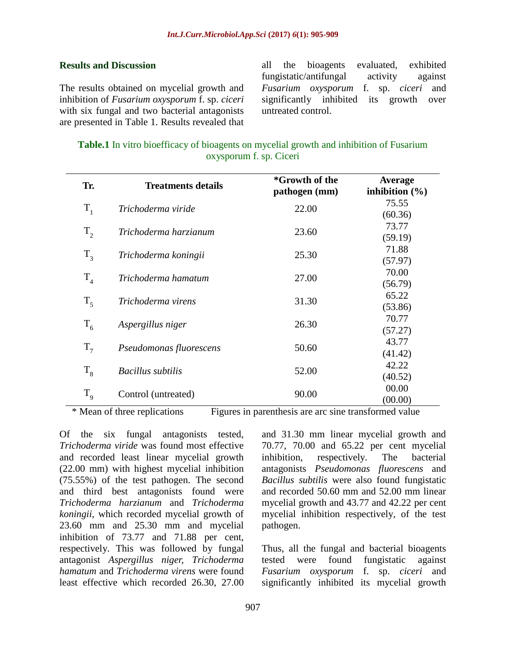#### **Results and Discussion**

The results obtained on mycelial growth and inhibition of *Fusarium oxysporum* f. sp. *ciceri* with six fungal and two bacterial antagonists are presented in Table 1. Results revealed that all the bioagents evaluated, exhibited fungistatic/antifungal activity against *Fusarium oxysporum* f. sp. *ciceri* and significantly inhibited its growth over untreated control.

| <b>Table.1</b> In vitro bioefficacy of bioagents on mycelial growth and inhibition of Fusarium |  |  |  |  |  |
|------------------------------------------------------------------------------------------------|--|--|--|--|--|
| oxysporum f. sp. Ciceri                                                                        |  |  |  |  |  |

| Tr.            | <b>Treatments details</b> | *Growth of the<br>pathogen (mm) | Average<br>inhibition $(\% )$ |
|----------------|---------------------------|---------------------------------|-------------------------------|
| $T_{1}$        | Trichoderma viride        | 22.00                           | 75.55                         |
|                |                           |                                 | (60.36)                       |
| $T_{2}$        | Trichoderma harzianum     | 23.60                           | 73.77                         |
|                |                           |                                 | (59.19)                       |
| $T_{3}$        | Trichoderma koningii      | 25.30                           | 71.88                         |
|                |                           |                                 | (57.97)                       |
| T <sub>4</sub> | Trichoderma hamatum       | 27.00                           | 70.00                         |
|                |                           |                                 | (56.79)                       |
| $T_{\zeta}$    | Trichoderma virens        | 31.30                           | 65.22                         |
|                |                           |                                 | (53.86)                       |
| $T_{6}$        | Aspergillus niger         | 26.30                           | 70.77                         |
|                |                           |                                 | (57.27)                       |
| $T_{7}$        | Pseudomonas fluorescens   | 50.60                           | 43.77                         |
|                |                           |                                 | (41.42)                       |
| $T_{8}$        | <b>Bacillus</b> subtilis  | 52.00                           | 42.22                         |
|                |                           |                                 | (40.52)                       |
| $T_{9}$        | Control (untreated)       | 90.00                           | 00.00                         |
|                |                           |                                 | (00.00)<br>$\sim$             |

\* Mean of three replications Figures in parenthesis are arc sine transformed value

Of the six fungal antagonists tested, *Trichoderma viride* was found most effective and recorded least linear mycelial growth (22.00 mm) with highest mycelial inhibition (75.55%) of the test pathogen. The second and third best antagonists found were *Trichoderma harzianum* and *Trichoderma koningii*, which recorded mycelial growth of 23.60 mm and 25.30 mm and mycelial inhibition of 73.77 and 71.88 per cent, respectively. This was followed by fungal antagonist *Aspergillus niger, Trichoderma hamatum* and *Trichoderma virens* were found least effective which recorded 26.30, 27.00 and 31.30 mm linear mycelial growth and 70.77, 70.00 and 65.22 per cent mycelial inhibition, respectively. The bacterial antagonists *Pseudomonas fluorescens* and *Bacillus subtilis* were also found fungistatic and recorded 50.60 mm and 52.00 mm linear mycelial growth and 43.77 and 42.22 per cent mycelial inhibition respectively, of the test pathogen.

Thus, all the fungal and bacterial bioagents tested were found fungistatic against *Fusarium oxysporum* f. sp. *ciceri* and significantly inhibited its mycelial growth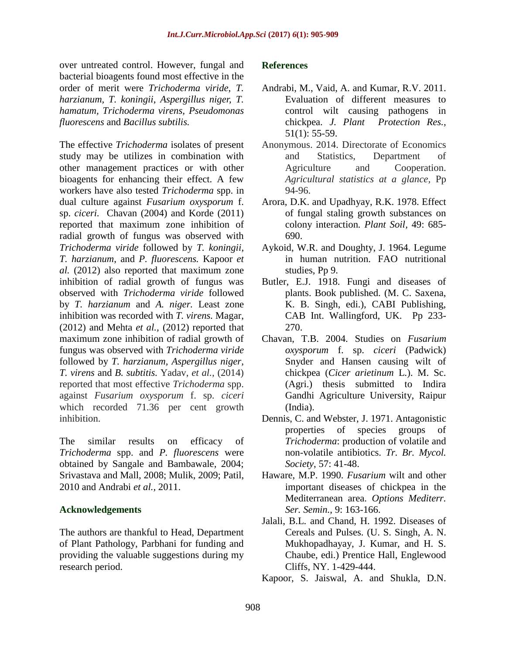over untreated control. However, fungal and bacterial bioagents found most effective in the order of merit were *Trichoderma viride*, *T. harzianum, T. koningii*, *Aspergillus niger, T. hamatum, Trichoderma virens, Pseudomonas fluorescens* and *Bacillus subtilis.*

The effective *Trichoderma* isolates of present study may be utilizes in combination with other management practices or with other bioagents for enhancing their effect. A few workers have also tested *Trichoderma* spp. in dual culture against *Fusarium oxysporum* f. sp. *ciceri.* Chavan (2004) and Korde (2011) reported that maximum zone inhibition of radial growth of fungus was observed with *Trichoderma viride* followed by *T. koningii*, *T. harzianum*, and *P. fluorescens.* Kapoor *et al.* (2012) also reported that maximum zone inhibition of radial growth of fungus was observed with *Trichoderma viride* followed by *T. harzianum* and *A. niger.* Least zone inhibition was recorded with *T. virens.* Magar, (2012) and Mehta *et al.,* (2012) reported that maximum zone inhibition of radial growth of fungus was observed with *Trichoderma viride*  followed by *T. harzianum, Aspergillus niger, T. virens* and *B. subtitis.* Yadav, *et al.,* (2014) reported that most effective *Trichoderma* spp. against *Fusarium oxysporum* f. sp. *ciceri*  which recorded 71.36 per cent growth inhibition.

The similar results on efficacy of *Trichoderma* spp. and *P. fluorescens* were obtained by Sangale and Bambawale, 2004; Srivastava and Mall, 2008; Mulik, 2009; Patil, 2010 and Andrabi *et al.,* 2011.

### **Acknowledgements**

The authors are thankful to Head, Department of Plant Pathology, Parbhani for funding and providing the valuable suggestions during my research period.

### **References**

- Andrabi, M., Vaid, A. and Kumar, R.V. 2011. Evaluation of different measures to control wilt causing pathogens in chickpea. *J. Plant Protection Res.,* 51(1): 55-59.
- Anonymous. 2014. Directorate of Economics and Statistics, Department of Agriculture and Cooperation. *Agricultural statistics at a glance,* Pp 94-96.
- Arora, D.K. and Upadhyay, R.K. 1978. Effect of fungal staling growth substances on colony interaction*. Plant Soil,* 49: 685- 690.
- Aykoid, W.R. and Doughty, J. 1964. Legume in human nutrition. FAO nutritional studies, Pp 9.
- Butler, E.J. 1918. Fungi and diseases of plants. Book published. (M. C. Saxena, K. B. Singh, edi.), CABI Publishing, CAB Int. Wallingford, UK. Pp 233- 270.
- Chavan, T.B. 2004. Studies on *Fusarium oxysporum* f. sp. *ciceri* (Padwick) Snyder and Hansen causing wilt of chickpea (*Cicer arietinum* L.). M. Sc. (Agri.) thesis submitted to Indira Gandhi Agriculture University, Raipur (India).
- Dennis, C. and Webster, J. 1971. Antagonistic properties of species groups of *Trichoderma*: production of volatile and non-volatile antibiotics. *Tr. Br. Mycol. Society*, 57: 41-48.
- Haware, M.P. 1990. *Fusarium* wilt and other important diseases of chickpea in the Mediterranean area. *Options Mediterr. Ser. Semin.*, 9: 163-166.
- Jalali, B.L. and Chand, H. 1992. Diseases of Cereals and Pulses. (U. S. Singh, A. N. Mukhopadhayay, J. Kumar, and H. S. Chaube, edi.) Prentice Hall, Englewood Cliffs, NY. 1-429-444.
- Kapoor, S. Jaiswal, A. and Shukla, D.N.